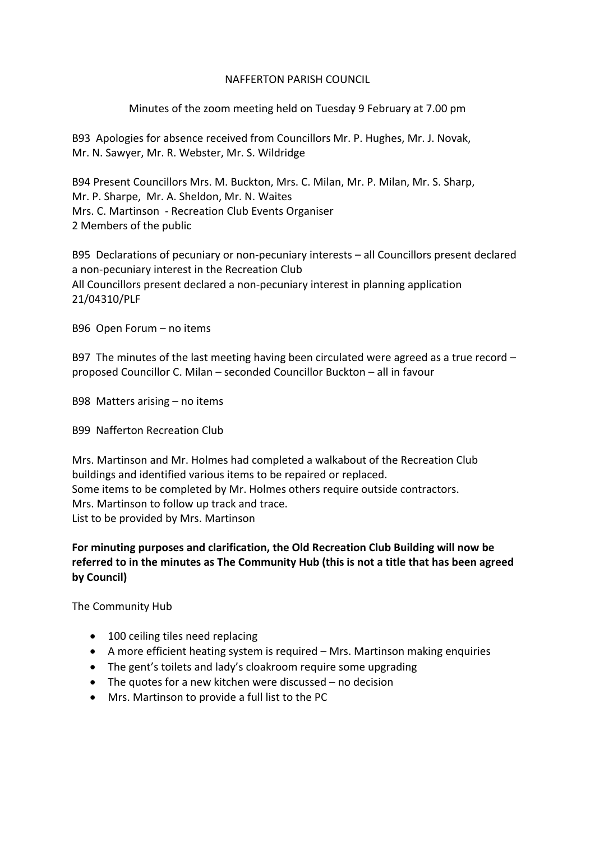## NAFFERTON PARISH COUNCIL

# Minutes of the zoom meeting held on Tuesday 9 February at 7.00 pm

B93 Apologies for absence received from Councillors Mr. P. Hughes, Mr. J. Novak, Mr. N. Sawyer, Mr. R. Webster, Mr. S. Wildridge

B94 Present Councillors Mrs. M. Buckton, Mrs. C. Milan, Mr. P. Milan, Mr. S. Sharp, Mr. P. Sharpe, Mr. A. Sheldon, Mr. N. Waites Mrs. C. Martinson - Recreation Club Events Organiser 2 Members of the public

B95 Declarations of pecuniary or non-pecuniary interests – all Councillors present declared a non-pecuniary interest in the Recreation Club All Councillors present declared a non-pecuniary interest in planning application 21/04310/PLF

B96 Open Forum – no items

B97 The minutes of the last meeting having been circulated were agreed as a true record  $$ proposed Councillor C. Milan – seconded Councillor Buckton – all in favour

B98 Matters arising – no items

B99 Nafferton Recreation Club

Mrs. Martinson and Mr. Holmes had completed a walkabout of the Recreation Club buildings and identified various items to be repaired or replaced. Some items to be completed by Mr. Holmes others require outside contractors. Mrs. Martinson to follow up track and trace. List to be provided by Mrs. Martinson

**For minuting purposes and clarification, the Old Recreation Club Building will now be referred to in the minutes as The Community Hub (this is not a title that has been agreed by Council)**

The Community Hub

- 100 ceiling tiles need replacing
- A more efficient heating system is required Mrs. Martinson making enquiries
- The gent's toilets and lady's cloakroom require some upgrading
- The quotes for a new kitchen were discussed no decision
- Mrs. Martinson to provide a full list to the PC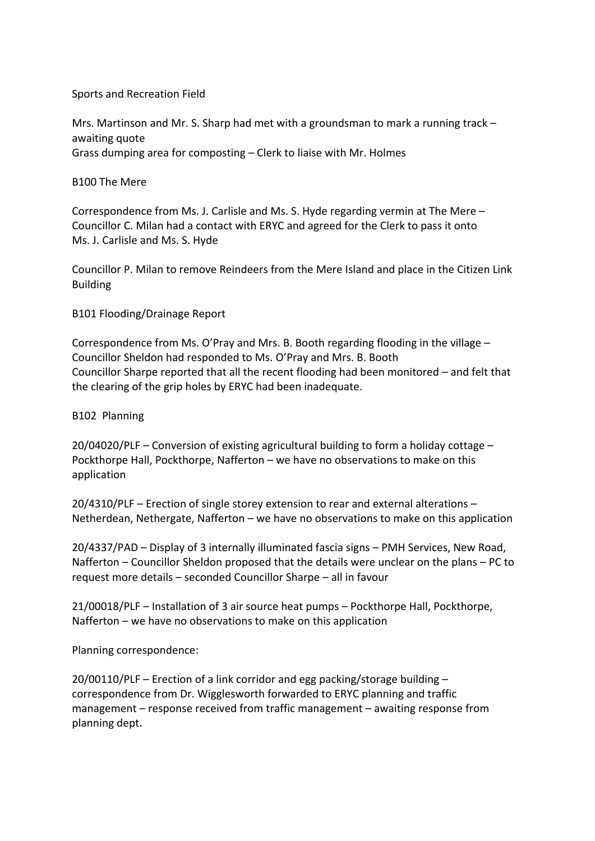### Sports and Recreation Field

Mrs. Martinson and Mr. S. Sharp had met with a groundsman to mark a running track – awaiting quote Grass dumping area for composting – Clerk to liaise with Mr. Holmes

### B100 The Mere

Correspondence from Ms. J. Carlisle and Ms. S. Hyde regarding vermin at The Mere – Councillor C. Milan had a contact with ERYC and agreed for the Clerk to pass it onto Ms. J. Carlisle and Ms. S. Hyde

Councillor P. Milan to remove Reindeers from the Mere Island and place in the Citizen Link Building

## B101 Flooding/Drainage Report

Correspondence from Ms. O'Pray and Mrs. B. Booth regarding flooding in the village – Councillor Sheldon had responded to Ms. O'Pray and Mrs. B. Booth Councillor Sharpe reported that all the recent flooding had been monitored – and felt that the clearing of the grip holes by ERYC had been inadequate.

#### B102 Planning

20/04020/PLF – Conversion of existing agricultural building to form a holiday cottage – Pockthorpe Hall, Pockthorpe, Nafferton – we have no observations to make on this application

20/4310/PLF – Erection of single storey extension to rear and external alterations – Netherdean, Nethergate, Nafferton – we have no observations to make on this application

20/4337/PAD – Display of 3 internally illuminated fascia signs – PMH Services, New Road, Nafferton – Councillor Sheldon proposed that the details were unclear on the plans – PC to request more details – seconded Councillor Sharpe – all in favour

21/00018/PLF – Installation of 3 air source heat pumps – Pockthorpe Hall, Pockthorpe, Nafferton – we have no observations to make on this application

Planning correspondence:

 $20/00110/PLF$  – Erection of a link corridor and egg packing/storage building – correspondence from Dr. Wigglesworth forwarded to ERYC planning and traffic management – response received from traffic management – awaiting response from planning dept.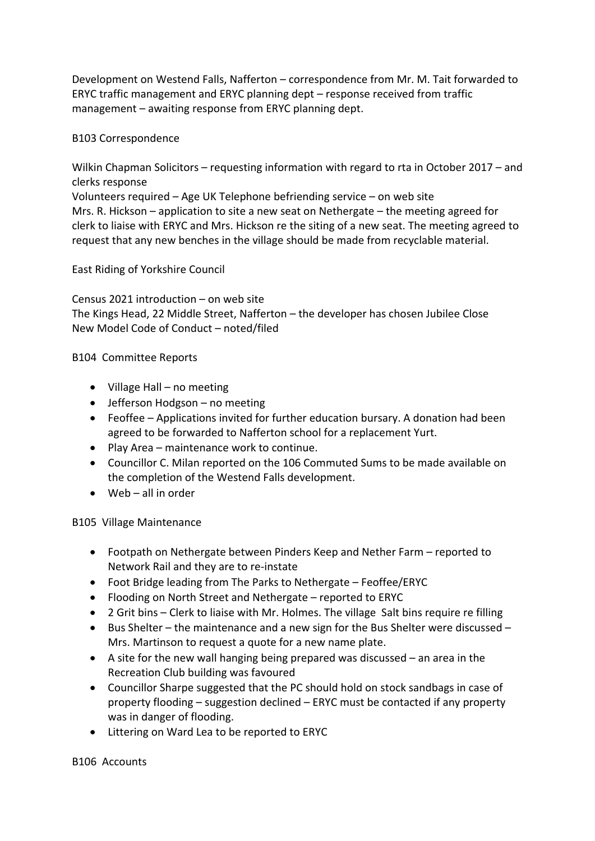Development on Westend Falls, Nafferton – correspondence from Mr. M. Tait forwarded to ERYC traffic management and ERYC planning dept – response received from traffic management – awaiting response from ERYC planning dept.

B103 Correspondence

Wilkin Chapman Solicitors – requesting information with regard to rta in October 2017 – and clerks response

Volunteers required – Age UK Telephone befriending service – on web site Mrs. R. Hickson – application to site a new seat on Nethergate – the meeting agreed for clerk to liaise with ERYC and Mrs. Hickson re the siting of a new seat. The meeting agreed to request that any new benches in the village should be made from recyclable material.

East Riding of Yorkshire Council

Census 2021 introduction – on web site The Kings Head, 22 Middle Street, Nafferton – the developer has chosen Jubilee Close New Model Code of Conduct – noted/filed

B104 Committee Reports

- Village Hall no meeting
- Jefferson Hodgson no meeting
- Feoffee Applications invited for further education bursary. A donation had been agreed to be forwarded to Nafferton school for a replacement Yurt.
- Play Area maintenance work to continue.
- Councillor C. Milan reported on the 106 Commuted Sums to be made available on the completion of the Westend Falls development.
- Web all in order

B105 Village Maintenance

- Footpath on Nethergate between Pinders Keep and Nether Farm reported to Network Rail and they are to re-instate
- Foot Bridge leading from The Parks to Nethergate Feoffee/ERYC
- Flooding on North Street and Nethergate reported to ERYC
- 2 Grit bins Clerk to liaise with Mr. Holmes. The village Salt bins require re filling
- Bus Shelter the maintenance and a new sign for the Bus Shelter were discussed Mrs. Martinson to request a quote for a new name plate.
- A site for the new wall hanging being prepared was discussed an area in the Recreation Club building was favoured
- Councillor Sharpe suggested that the PC should hold on stock sandbags in case of property flooding – suggestion declined – ERYC must be contacted if any property was in danger of flooding.
- Littering on Ward Lea to be reported to ERYC

B106 Accounts